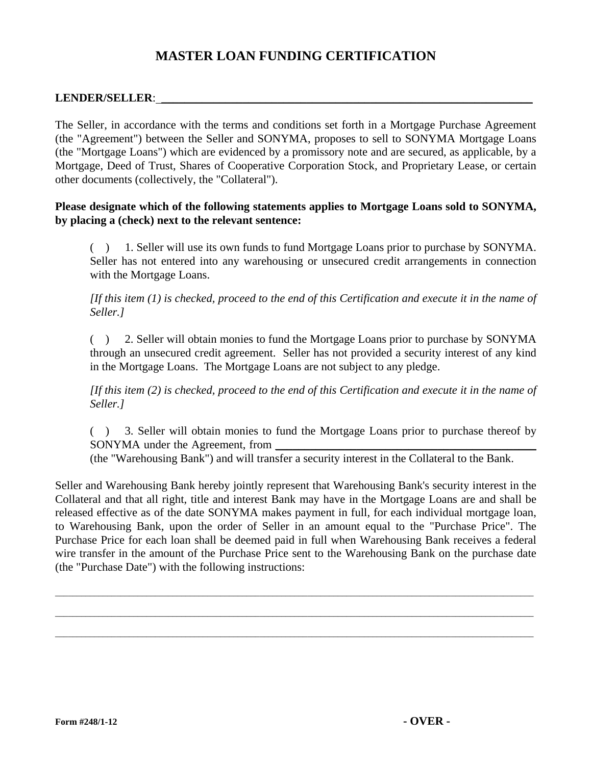## **MASTER LOAN FUNDING CERTIFICATION**

## LENDER/SELLER:

The Seller, in accordance with the terms and conditions set forth in a Mortgage Purchase Agreement (the "Agreement") between the Seller and SONYMA, proposes to sell to SONYMA Mortgage Loans (the "Mortgage Loans") which are evidenced by a promissory note and are secured, as applicable, by a Mortgage, Deed of Trust, Shares of Cooperative Corporation Stock, and Proprietary Lease, or certain other documents (collectively, the "Collateral").

## **Please designate which of the following statements applies to Mortgage Loans sold to SONYMA, by placing a (check) next to the relevant sentence:**

( ) 1. Seller will use its own funds to fund Mortgage Loans prior to purchase by SONYMA. Seller has not entered into any warehousing or unsecured credit arrangements in connection with the Mortgage Loans.

*[If this item (1) is checked, proceed to the end of this Certification and execute it in the name of Seller.]*

( ) 2. Seller will obtain monies to fund the Mortgage Loans prior to purchase by SONYMA through an unsecured credit agreement. Seller has not provided a security interest of any kind in the Mortgage Loans. The Mortgage Loans are not subject to any pledge.

*[If this item (2) is checked, proceed to the end of this Certification and execute it in the name of Seller.]*

( ) 3. Seller will obtain monies to fund the Mortgage Loans prior to purchase thereof by SONYMA under the Agreement, from

(the "Warehousing Bank") and will transfer a security interest in the Collateral to the Bank.

Seller and Warehousing Bank hereby jointly represent that Warehousing Bank's security interest in the Collateral and that all right, title and interest Bank may have in the Mortgage Loans are and shall be released effective as of the date SONYMA makes payment in full, for each individual mortgage loan, to Warehousing Bank, upon the order of Seller in an amount equal to the "Purchase Price". The Purchase Price for each loan shall be deemed paid in full when Warehousing Bank receives a federal wire transfer in the amount of the Purchase Price sent to the Warehousing Bank on the purchase date (the "Purchase Date") with the following instructions:

\_\_\_\_\_\_\_\_\_\_\_\_\_\_\_\_\_\_\_\_\_\_\_\_\_\_\_\_\_\_\_\_\_\_\_\_\_\_\_\_\_\_\_\_\_\_\_\_\_\_\_\_\_\_\_\_\_\_\_\_\_\_\_\_\_\_\_\_\_\_\_\_\_\_\_\_\_\_\_\_\_\_\_\_\_\_\_\_\_\_\_\_\_\_\_\_\_\_\_\_\_\_\_\_\_\_\_\_\_\_

\_\_\_\_\_\_\_\_\_\_\_\_\_\_\_\_\_\_\_\_\_\_\_\_\_\_\_\_\_\_\_\_\_\_\_\_\_\_\_\_\_\_\_\_\_\_\_\_\_\_\_\_\_\_\_\_\_\_\_\_\_\_\_\_\_\_\_\_\_\_\_\_\_\_\_\_\_\_\_\_\_\_\_\_\_\_\_\_\_\_\_\_\_\_\_\_\_\_\_\_\_\_\_\_\_\_\_\_\_\_

\_\_\_\_\_\_\_\_\_\_\_\_\_\_\_\_\_\_\_\_\_\_\_\_\_\_\_\_\_\_\_\_\_\_\_\_\_\_\_\_\_\_\_\_\_\_\_\_\_\_\_\_\_\_\_\_\_\_\_\_\_\_\_\_\_\_\_\_\_\_\_\_\_\_\_\_\_\_\_\_\_\_\_\_\_\_\_\_\_\_\_\_\_\_\_\_\_\_\_\_\_\_\_\_\_\_\_\_\_\_